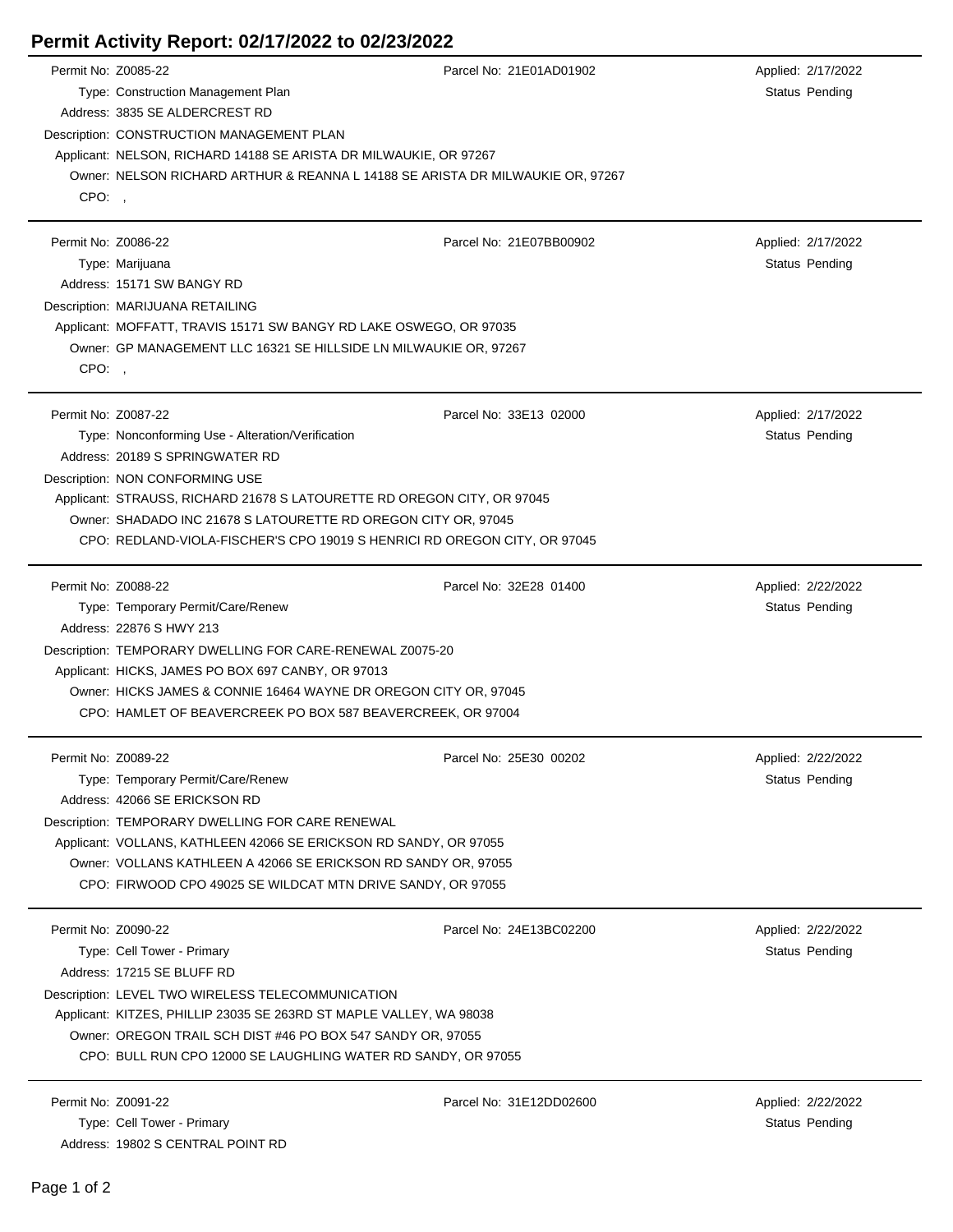## **Permit Activity Report: 02/17/2022 to 02/23/2022**

| Permit No: Z0085-22 |                                                                                                                              | Parcel No: 21E01AD01902 | Applied: 2/17/2022 |  |  |
|---------------------|------------------------------------------------------------------------------------------------------------------------------|-------------------------|--------------------|--|--|
|                     | Type: Construction Management Plan                                                                                           |                         | Status Pending     |  |  |
|                     | Address: 3835 SE ALDERCREST RD                                                                                               |                         |                    |  |  |
|                     | Description: CONSTRUCTION MANAGEMENT PLAN                                                                                    |                         |                    |  |  |
|                     | Applicant: NELSON, RICHARD 14188 SE ARISTA DR MILWAUKIE, OR 97267                                                            |                         |                    |  |  |
|                     | Owner: NELSON RICHARD ARTHUR & REANNA L 14188 SE ARISTA DR MILWAUKIE OR, 97267                                               |                         |                    |  |  |
| CPO:,               |                                                                                                                              |                         |                    |  |  |
|                     |                                                                                                                              |                         |                    |  |  |
| Permit No: Z0086-22 |                                                                                                                              | Parcel No: 21E07BB00902 | Applied: 2/17/2022 |  |  |
|                     | Type: Marijuana                                                                                                              |                         | Status Pending     |  |  |
|                     | Address: 15171 SW BANGY RD                                                                                                   |                         |                    |  |  |
|                     | Description: MARIJUANA RETAILING                                                                                             |                         |                    |  |  |
|                     | Applicant: MOFFATT, TRAVIS 15171 SW BANGY RD LAKE OSWEGO, OR 97035                                                           |                         |                    |  |  |
|                     | Owner: GP MANAGEMENT LLC 16321 SE HILLSIDE LN MILWAUKIE OR, 97267                                                            |                         |                    |  |  |
| CPO:                |                                                                                                                              |                         |                    |  |  |
|                     |                                                                                                                              |                         |                    |  |  |
| Permit No: Z0087-22 |                                                                                                                              | Parcel No: 33E13 02000  | Applied: 2/17/2022 |  |  |
|                     | Type: Nonconforming Use - Alteration/Verification                                                                            |                         | Status Pending     |  |  |
|                     | Address: 20189 S SPRINGWATER RD                                                                                              |                         |                    |  |  |
|                     | Description: NON CONFORMING USE                                                                                              |                         |                    |  |  |
|                     | Applicant: STRAUSS, RICHARD 21678 S LATOURETTE RD OREGON CITY, OR 97045                                                      |                         |                    |  |  |
|                     | Owner: SHADADO INC 21678 S LATOURETTE RD OREGON CITY OR, 97045                                                               |                         |                    |  |  |
|                     | CPO: REDLAND-VIOLA-FISCHER'S CPO 19019 S HENRICI RD OREGON CITY, OR 97045                                                    |                         |                    |  |  |
| Permit No: Z0088-22 |                                                                                                                              | Parcel No: 32E28 01400  | Applied: 2/22/2022 |  |  |
|                     | Type: Temporary Permit/Care/Renew                                                                                            |                         | Status Pending     |  |  |
|                     | Address: 22876 S HWY 213                                                                                                     |                         |                    |  |  |
|                     | Description: TEMPORARY DWELLING FOR CARE-RENEWAL Z0075-20                                                                    |                         |                    |  |  |
|                     | Applicant: HICKS, JAMES PO BOX 697 CANBY, OR 97013                                                                           |                         |                    |  |  |
|                     | Owner: HICKS JAMES & CONNIE 16464 WAYNE DR OREGON CITY OR, 97045                                                             |                         |                    |  |  |
|                     | CPO: HAMLET OF BEAVERCREEK PO BOX 587 BEAVERCREEK, OR 97004                                                                  |                         |                    |  |  |
|                     |                                                                                                                              |                         |                    |  |  |
| Permit No: Z0089-22 |                                                                                                                              | Parcel No: 25E30 00202  | Applied: 2/22/2022 |  |  |
|                     | Type: Temporary Permit/Care/Renew                                                                                            |                         | Status Pending     |  |  |
|                     | Address: 42066 SE ERICKSON RD                                                                                                |                         |                    |  |  |
|                     | Description: TEMPORARY DWELLING FOR CARE RENEWAL                                                                             |                         |                    |  |  |
|                     | Applicant: VOLLANS, KATHLEEN 42066 SE ERICKSON RD SANDY, OR 97055                                                            |                         |                    |  |  |
|                     | Owner: VOLLANS KATHLEEN A 42066 SE ERICKSON RD SANDY OR, 97055                                                               |                         |                    |  |  |
|                     | CPO: FIRWOOD CPO 49025 SE WILDCAT MTN DRIVE SANDY, OR 97055                                                                  |                         |                    |  |  |
| Permit No: Z0090-22 |                                                                                                                              | Parcel No: 24E13BC02200 | Applied: 2/22/2022 |  |  |
|                     |                                                                                                                              |                         |                    |  |  |
|                     | Type: Cell Tower - Primary<br>Address: 17215 SE BLUFF RD                                                                     |                         | Status Pending     |  |  |
|                     |                                                                                                                              |                         |                    |  |  |
|                     | Description: LEVEL TWO WIRELESS TELECOMMUNICATION                                                                            |                         |                    |  |  |
|                     | Applicant: KITZES, PHILLIP 23035 SE 263RD ST MAPLE VALLEY, WA 98038                                                          |                         |                    |  |  |
|                     | Owner: OREGON TRAIL SCH DIST #46 PO BOX 547 SANDY OR, 97055<br>CPO: BULL RUN CPO 12000 SE LAUGHLING WATER RD SANDY, OR 97055 |                         |                    |  |  |
|                     |                                                                                                                              |                         |                    |  |  |
| Permit No: Z0091-22 |                                                                                                                              | Parcel No: 31E12DD02600 | Applied: 2/22/2022 |  |  |
|                     | Type: Cell Tower - Primary                                                                                                   |                         | Status Pending     |  |  |
|                     |                                                                                                                              |                         |                    |  |  |